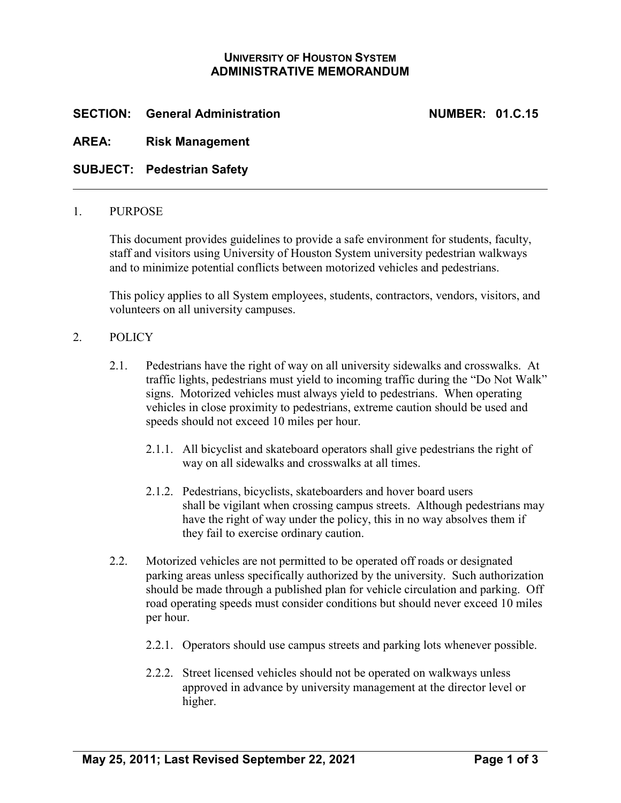# **UNIVERSITY OF HOUSTON SYSTEM ADMINISTRATIVE MEMORANDUM**

# **SECTION: General Administration NUMBER: 01.C.15**

## **AREA: Risk Management**

## **SUBJECT: Pedestrian Safety**

#### 1. PURPOSE

This document provides guidelines to provide a safe environment for students, faculty, staff and visitors using University of Houston System university pedestrian walkways and to minimize potential conflicts between motorized vehicles and pedestrians.

This policy applies to all System employees, students, contractors, vendors, visitors, and volunteers on all university campuses.

#### 2. POLICY

- 2.1. Pedestrians have the right of way on all university sidewalks and crosswalks. At traffic lights, pedestrians must yield to incoming traffic during the "Do Not Walk" signs. Motorized vehicles must always yield to pedestrians. When operating vehicles in close proximity to pedestrians, extreme caution should be used and speeds should not exceed 10 miles per hour.
	- 2.1.1. All bicyclist and skateboard operators shall give pedestrians the right of way on all sidewalks and crosswalks at all times.
	- 2.1.2. Pedestrians, bicyclists, skateboarders and hover board users shall be vigilant when crossing campus streets. Although pedestrians may have the right of way under the policy, this in no way absolves them if they fail to exercise ordinary caution.
- 2.2. Motorized vehicles are not permitted to be operated off roads or designated parking areas unless specifically authorized by the university. Such authorization should be made through a published plan for vehicle circulation and parking. Off road operating speeds must consider conditions but should never exceed 10 miles per hour.
	- 2.2.1. Operators should use campus streets and parking lots whenever possible.
	- 2.2.2. Street licensed vehicles should not be operated on walkways unless approved in advance by university management at the director level or higher.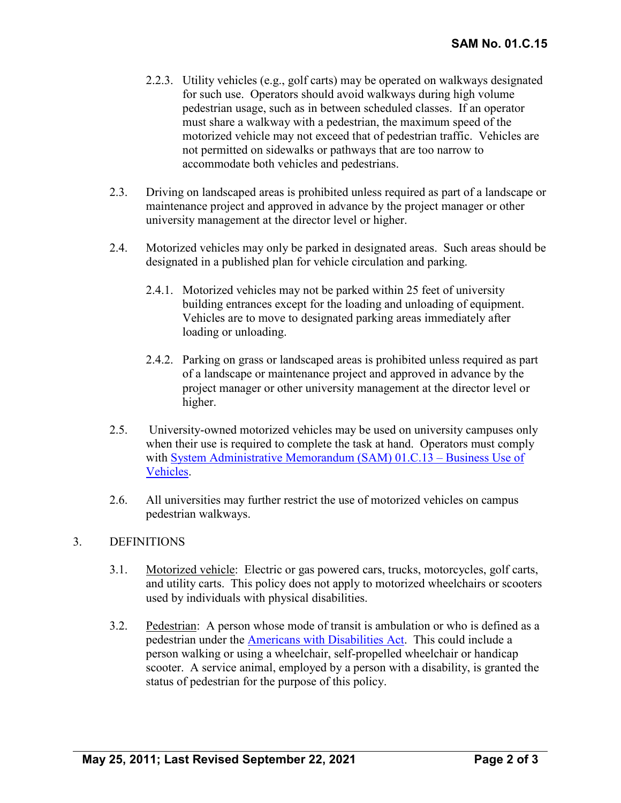- 2.2.3. Utility vehicles (e.g., golf carts) may be operated on walkways designated for such use. Operators should avoid walkways during high volume pedestrian usage, such as in between scheduled classes. If an operator must share a walkway with a pedestrian, the maximum speed of the motorized vehicle may not exceed that of pedestrian traffic. Vehicles are not permitted on sidewalks or pathways that are too narrow to accommodate both vehicles and pedestrians.
- 2.3. Driving on landscaped areas is prohibited unless required as part of a landscape or maintenance project and approved in advance by the project manager or other university management at the director level or higher.
- 2.4. Motorized vehicles may only be parked in designated areas. Such areas should be designated in a published plan for vehicle circulation and parking.
	- 2.4.1. Motorized vehicles may not be parked within 25 feet of university building entrances except for the loading and unloading of equipment. Vehicles are to move to designated parking areas immediately after loading or unloading.
	- 2.4.2. Parking on grass or landscaped areas is prohibited unless required as part of a landscape or maintenance project and approved in advance by the project manager or other university management at the director level or higher.
- 2.5. University-owned motorized vehicles may be used on university campuses only when their use is required to complete the task at hand. Operators must comply with [System Administrative Memorandum \(SAM\)](https://uhsystem.edu/compliance-ethics/_docs/sam/01/1c13.pdf) 01.C.13 – Business Use of [Vehicles.](https://uhsystem.edu/compliance-ethics/_docs/sam/01/1c13.pdf)
- 2.6. All universities may further restrict the use of motorized vehicles on campus pedestrian walkways.

## 3. DEFINITIONS

- 3.1. Motorized vehicle: Electric or gas powered cars, trucks, motorcycles, golf carts, and utility carts. This policy does not apply to motorized wheelchairs or scooters used by individuals with physical disabilities.
- 3.2. Pedestrian: A person whose mode of transit is ambulation or who is defined as a pedestrian under the [Americans with Disabilities Act.](https://www.dol.gov/general/topic/disability/ada) This could include a person walking or using a wheelchair, self-propelled wheelchair or handicap scooter. A service animal, employed by a person with a disability, is granted the status of pedestrian for the purpose of this policy.